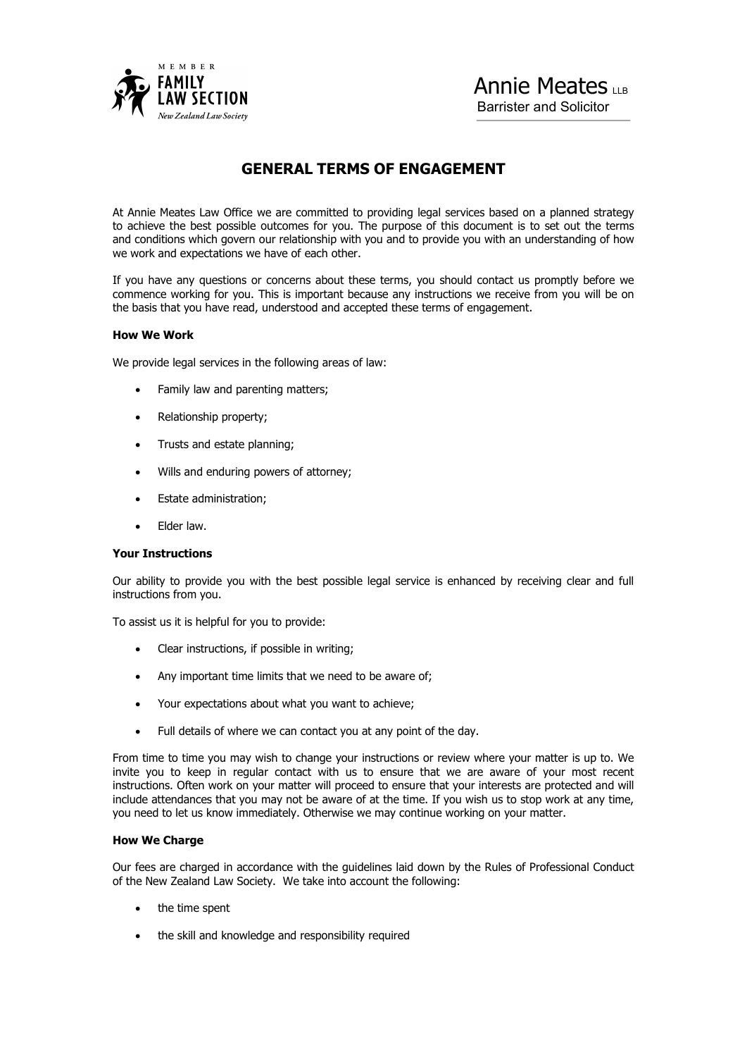

# Annie Meates Barrister and Solicitor

## **GENERAL TERMS OF ENGAGEMENT**

At Annie Meates Law Office we are committed to providing legal services based on a planned strategy to achieve the best possible outcomes for you. The purpose of this document is to set out the terms and conditions which govern our relationship with you and to provide you with an understanding of how we work and expectations we have of each other.

If you have any questions or concerns about these terms, you should contact us promptly before we commence working for you. This is important because any instructions we receive from you will be on the basis that you have read, understood and accepted these terms of engagement.

#### **How We Work**

We provide legal services in the following areas of law:

- Family law and parenting matters;
- Relationship property;
- Trusts and estate planning:
- Wills and enduring powers of attorney;
- Estate administration;
- Elder law.

#### **Your Instructions**

Our ability to provide you with the best possible legal service is enhanced by receiving clear and full instructions from you.

To assist us it is helpful for you to provide:

- Clear instructions, if possible in writing;
- Any important time limits that we need to be aware of;
- Your expectations about what you want to achieve;
- Full details of where we can contact you at any point of the day.

From time to time you may wish to change your instructions or review where your matter is up to. We invite you to keep in regular contact with us to ensure that we are aware of your most recent instructions. Often work on your matter will proceed to ensure that your interests are protected and will include attendances that you may not be aware of at the time. If you wish us to stop work at any time, you need to let us know immediately. Otherwise we may continue working on your matter.

#### **How We Charge**

Our fees are charged in accordance with the guidelines laid down by the Rules of Professional Conduct of the New Zealand Law Society. We take into account the following:

- the time spent
- the skill and knowledge and responsibility required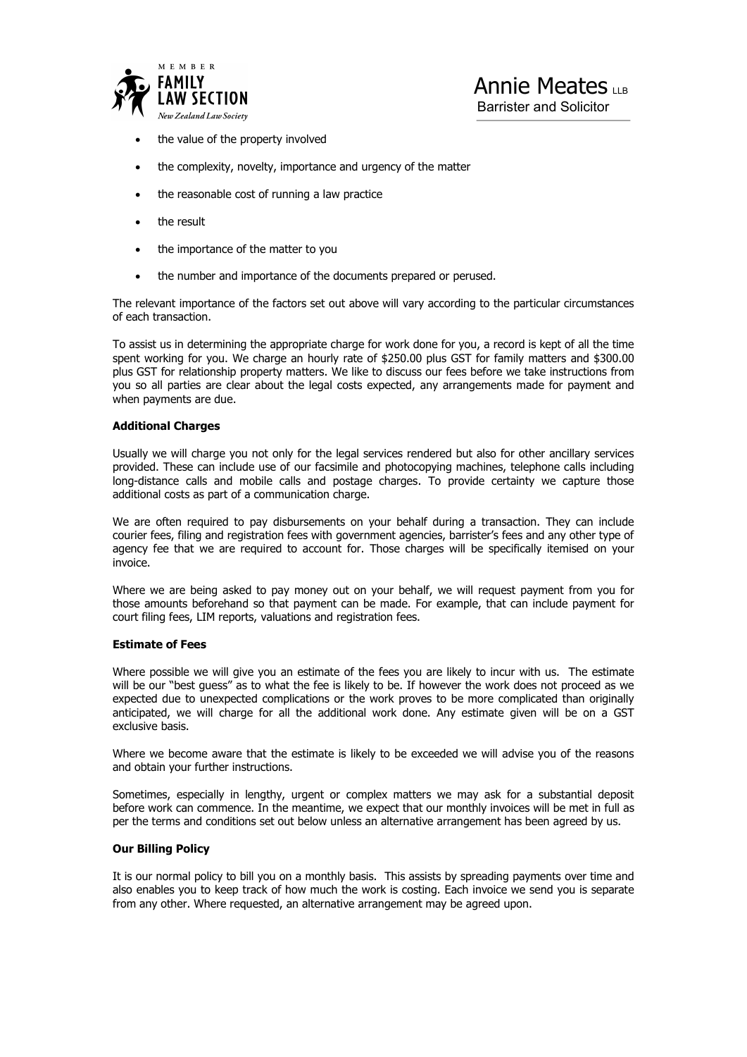

Barrister and Solicitor

- the value of the property involved
- the complexity, novelty, importance and urgency of the matter
- the reasonable cost of running a law practice
- the result
- the importance of the matter to you
- the number and importance of the documents prepared or perused.

The relevant importance of the factors set out above will vary according to the particular circumstances of each transaction.

To assist us in determining the appropriate charge for work done for you, a record is kept of all the time spent working for you. We charge an hourly rate of \$250.00 plus GST for family matters and \$300.00 plus GST for relationship property matters. We like to discuss our fees before we take instructions from you so all parties are clear about the legal costs expected, any arrangements made for payment and when payments are due.

#### **Additional Charges**

Usually we will charge you not only for the legal services rendered but also for other ancillary services provided. These can include use of our facsimile and photocopying machines, telephone calls including long-distance calls and mobile calls and postage charges. To provide certainty we capture those additional costs as part of a communication charge.

We are often required to pay disbursements on your behalf during a transaction. They can include courier fees, filing and registration fees with government agencies, barrister's fees and any other type of agency fee that we are required to account for. Those charges will be specifically itemised on your invoice.

Where we are being asked to pay money out on your behalf, we will request payment from you for those amounts beforehand so that payment can be made. For example, that can include payment for court filing fees, LIM reports, valuations and registration fees.

#### **Estimate of Fees**

Where possible we will give you an estimate of the fees you are likely to incur with us. The estimate will be our "best guess" as to what the fee is likely to be. If however the work does not proceed as we expected due to unexpected complications or the work proves to be more complicated than originally anticipated, we will charge for all the additional work done. Any estimate given will be on a GST exclusive basis.

Where we become aware that the estimate is likely to be exceeded we will advise you of the reasons and obtain your further instructions.

Sometimes, especially in lengthy, urgent or complex matters we may ask for a substantial deposit before work can commence. In the meantime, we expect that our monthly invoices will be met in full as per the terms and conditions set out below unless an alternative arrangement has been agreed by us.

#### **Our Billing Policy**

It is our normal policy to bill you on a monthly basis. This assists by spreading payments over time and also enables you to keep track of how much the work is costing. Each invoice we send you is separate from any other. Where requested, an alternative arrangement may be agreed upon.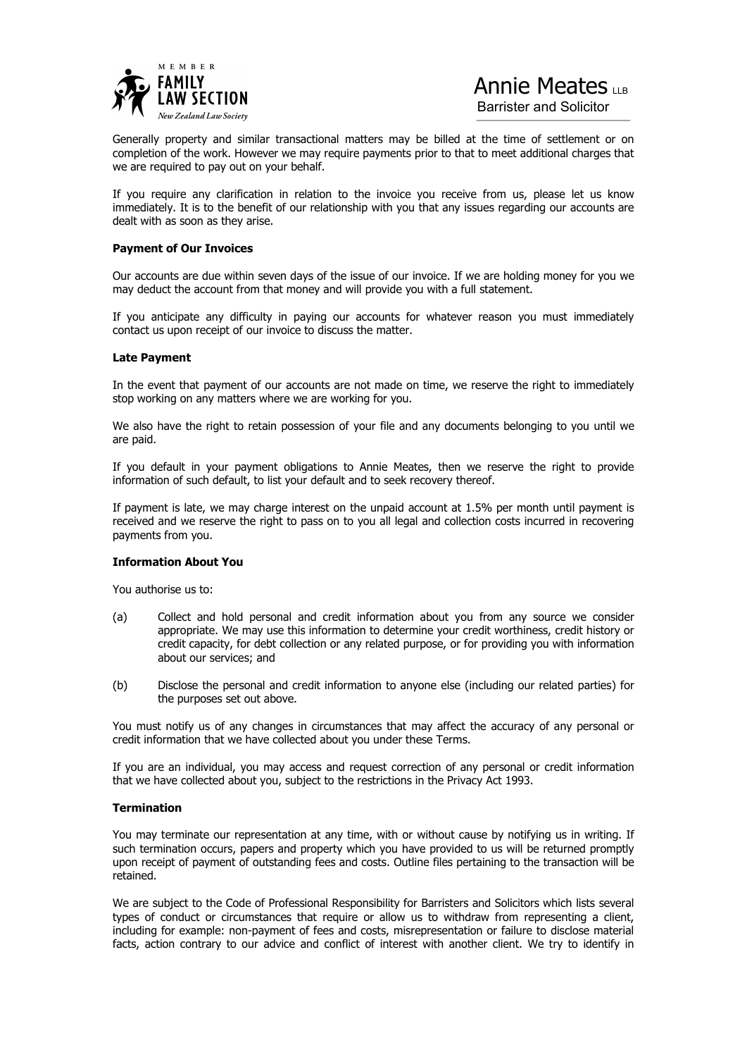

# Annie Meates

Barrister and Solicitor

Generally property and similar transactional matters may be billed at the time of settlement or on completion of the work. However we may require payments prior to that to meet additional charges that we are required to pay out on your behalf.

If you require any clarification in relation to the invoice you receive from us, please let us know immediately. It is to the benefit of our relationship with you that any issues regarding our accounts are dealt with as soon as they arise.

#### **Payment of Our Invoices**

Our accounts are due within seven days of the issue of our invoice. If we are holding money for you we may deduct the account from that money and will provide you with a full statement.

If you anticipate any difficulty in paying our accounts for whatever reason you must immediately contact us upon receipt of our invoice to discuss the matter.

#### **Late Payment**

In the event that payment of our accounts are not made on time, we reserve the right to immediately stop working on any matters where we are working for you.

We also have the right to retain possession of your file and any documents belonging to you until we are paid.

If you default in your payment obligations to Annie Meates, then we reserve the right to provide information of such default, to list your default and to seek recovery thereof.

If payment is late, we may charge interest on the unpaid account at 1.5% per month until payment is received and we reserve the right to pass on to you all legal and collection costs incurred in recovering payments from you.

#### **Information About You**

You authorise us to:

- (a) Collect and hold personal and credit information about you from any source we consider appropriate. We may use this information to determine your credit worthiness, credit history or credit capacity, for debt collection or any related purpose, or for providing you with information about our services; and
- (b) Disclose the personal and credit information to anyone else (including our related parties) for the purposes set out above.

You must notify us of any changes in circumstances that may affect the accuracy of any personal or credit information that we have collected about you under these Terms.

If you are an individual, you may access and request correction of any personal or credit information that we have collected about you, subject to the restrictions in the Privacy Act 1993.

#### **Termination**

You may terminate our representation at any time, with or without cause by notifying us in writing. If such termination occurs, papers and property which you have provided to us will be returned promptly upon receipt of payment of outstanding fees and costs. Outline files pertaining to the transaction will be retained.

We are subject to the Code of Professional Responsibility for Barristers and Solicitors which lists several types of conduct or circumstances that require or allow us to withdraw from representing a client, including for example: non-payment of fees and costs, misrepresentation or failure to disclose material facts, action contrary to our advice and conflict of interest with another client. We try to identify in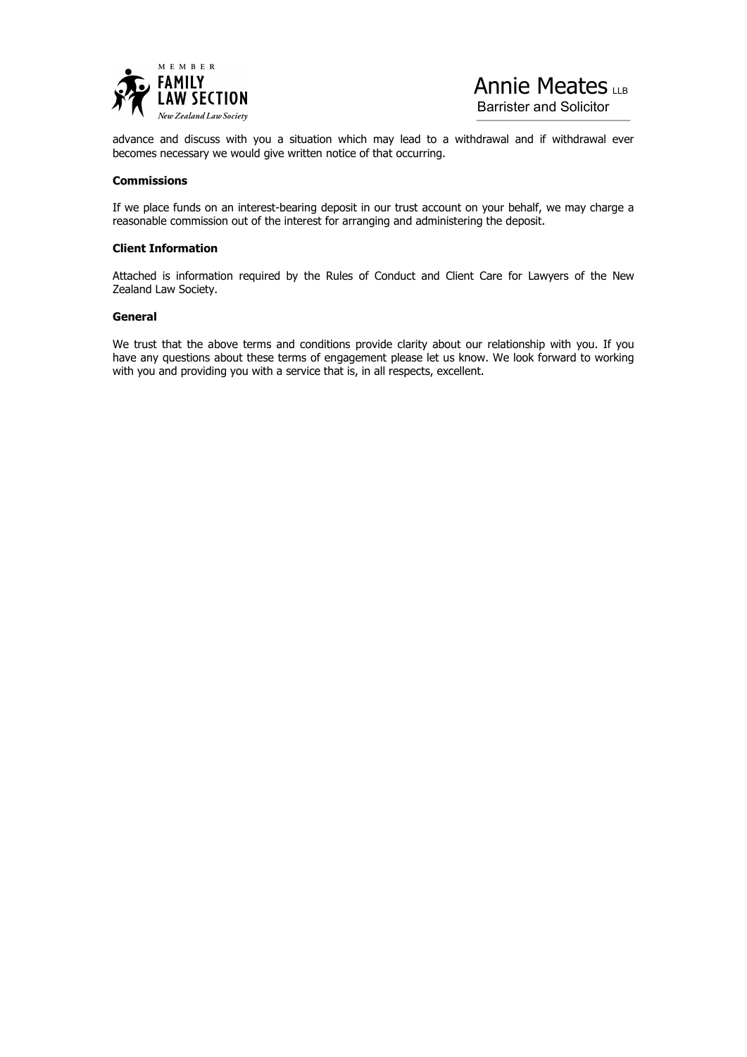



Barrister and Solicitor

advance and discuss with you a situation which may lead to a withdrawal and if withdrawal ever becomes necessary we would give written notice of that occurring.

#### **Commissions**

If we place funds on an interest-bearing deposit in our trust account on your behalf, we may charge a reasonable commission out of the interest for arranging and administering the deposit.

#### **Client Information**

Attached is information required by the Rules of Conduct and Client Care for Lawyers of the New Zealand Law Society.

#### **General**

We trust that the above terms and conditions provide clarity about our relationship with you. If you have any questions about these terms of engagement please let us know. We look forward to working with you and providing you with a service that is, in all respects, excellent.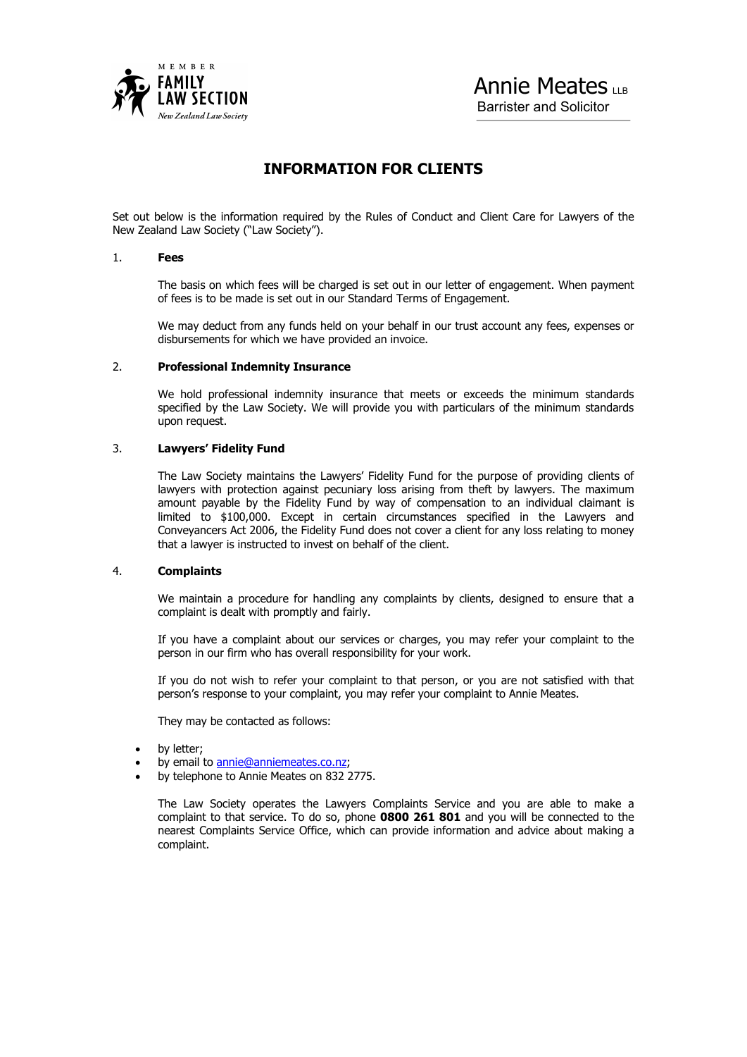

## **INFORMATION FOR CLIENTS**

Set out below is the information required by the Rules of Conduct and Client Care for Lawyers of the New Zealand Law Society ("Law Society").

#### 1. **Fees**

 The basis on which fees will be charged is set out in our letter of engagement. When payment of fees is to be made is set out in our Standard Terms of Engagement.

 We may deduct from any funds held on your behalf in our trust account any fees, expenses or disbursements for which we have provided an invoice.

#### 2. **Professional Indemnity Insurance**

 We hold professional indemnity insurance that meets or exceeds the minimum standards specified by the Law Society. We will provide you with particulars of the minimum standards upon request.

## 3. **Lawyers' Fidelity Fund**

 The Law Society maintains the Lawyers' Fidelity Fund for the purpose of providing clients of lawyers with protection against pecuniary loss arising from theft by lawyers. The maximum amount payable by the Fidelity Fund by way of compensation to an individual claimant is limited to \$100,000. Except in certain circumstances specified in the Lawyers and Conveyancers Act 2006, the Fidelity Fund does not cover a client for any loss relating to money that a lawyer is instructed to invest on behalf of the client.

### 4. **Complaints**

We maintain a procedure for handling any complaints by clients, designed to ensure that a complaint is dealt with promptly and fairly.

 If you have a complaint about our services or charges, you may refer your complaint to the person in our firm who has overall responsibility for your work.

 If you do not wish to refer your complaint to that person, or you are not satisfied with that person's response to your complaint, you may refer your complaint to Annie Meates.

They may be contacted as follows:

- by letter;
- by email to annie@anniemeates.co.nz;
- by telephone to Annie Meates on 832 2775.

The Law Society operates the Lawyers Complaints Service and you are able to make a complaint to that service. To do so, phone **0800 261 801** and you will be connected to the nearest Complaints Service Office, which can provide information and advice about making a complaint.